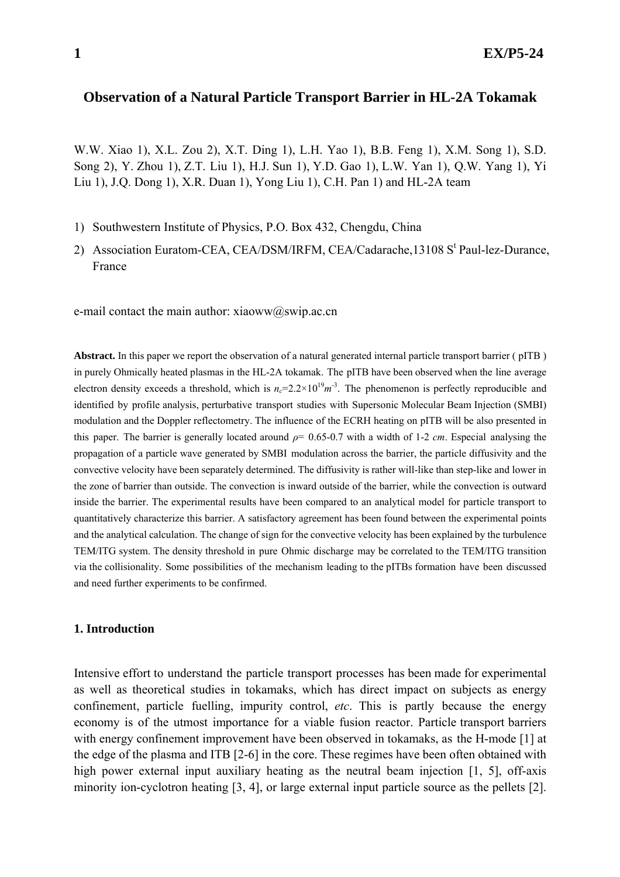# **Observation of a Natural Particle Transport Barrier in HL-2A Tokamak**

W.W. Xiao 1), X.L. Zou 2), X.T. Ding 1), L.H. Yao 1), B.B. Feng 1), X.M. Song 1), S.D. Song 2), Y. Zhou 1), Z.T. Liu 1), H.J. Sun 1), Y.D. Gao 1), L.W. Yan 1), Q.W. Yang 1), Yi Liu 1), J.Q. Dong 1), X.R. Duan 1), Yong Liu 1), C.H. Pan 1) and HL-2A team

- 1) Southwestern Institute of Physics, P.O. Box 432, Chengdu, China
- 2) Association Euratom-CEA, CEA/DSM/IRFM, CEA/Cadarache, 13108 S<sup>t</sup> Paul-lez-Durance, France

e-mail contact the main author:  $xiaoww(a)swip.ac.cn$ 

**Abstract.** In this paper we report the observation of a natural generated internal particle transport barrier ( pITB ) in purely Ohmically heated plasmas in the HL-2A tokamak. The pITB have been observed when the line average electron density exceeds a threshold, which is  $n_c=2.2\times10^{19}m^{-3}$ . The phenomenon is perfectly reproducible and identified by profile analysis, perturbative transport studies with Supersonic Molecular Beam Injection (SMBI) modulation and the Doppler reflectometry. The influence of the ECRH heating on pITB will be also presented in this paper. The barrier is generally located around *ρ*= 0.65-0.7 with a width of 1-2 *cm*. Especial analysing the propagation of a particle wave generated by SMBI modulation across the barrier, the particle diffusivity and the convective velocity have been separately determined. The diffusivity is rather will-like than step-like and lower in the zone of barrier than outside. The convection is inward outside of the barrier, while the convection is outward inside the barrier. The experimental results have been compared to an analytical model for particle transport to quantitatively characterize this barrier. A satisfactory agreement has been found between the experimental points and the analytical calculation. The change of sign for the convective velocity has been explained by the turbulence TEM/ITG system. The density threshold in pure Ohmic discharge may be correlated to the TEM/ITG transition via the collisionality. Some possibilities of the mechanism leading to the pITBs formation have been discussed and need further experiments to be confirmed.

#### **1. Introduction**

Intensive effort to understand the particle transport processes has been made for experimental as well as theoretical studies in tokamaks, which has direct impact on subjects as energy confinement, particle fuelling, impurity control, *etc*. This is partly because the energy economy is of the utmost importance for a viable fusion reactor. Particle transport barriers with energy confinement improvement have been observed in tokamaks, as the H-mode [1] at the edge of the plasma and ITB [2-6] in the core. These regimes have been often obtained with high power external input auxiliary heating as the neutral beam injection [1, 5], off-axis minority ion-cyclotron heating [3, 4], or large external input particle source as the pellets [2].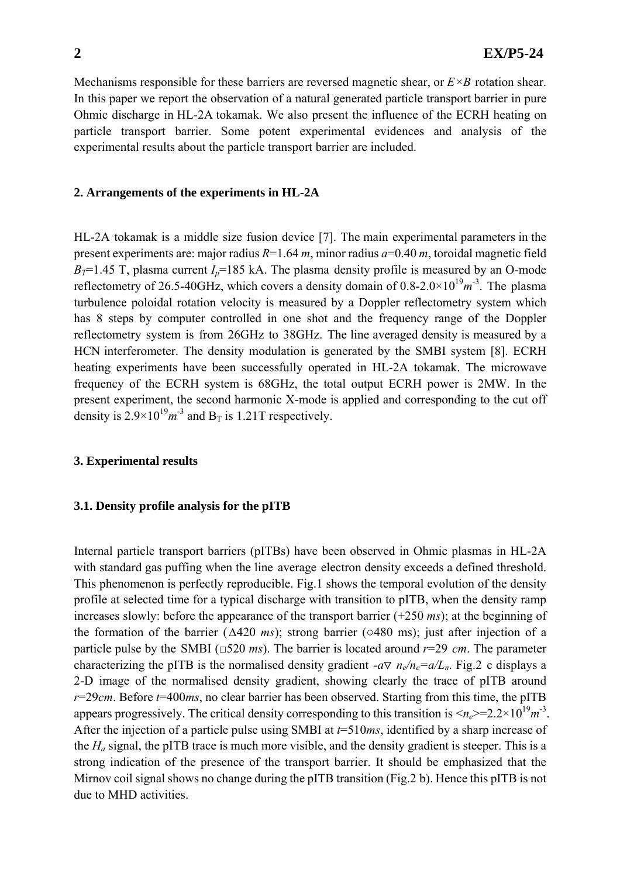Mechanisms responsible for these barriers are reversed magnetic shear, or  $E \times B$  rotation shear. In this paper we report the observation of a natural generated particle transport barrier in pure Ohmic discharge in HL-2A tokamak. We also present the influence of the ECRH heating on particle transport barrier. Some potent experimental evidences and analysis of the experimental results about the particle transport barrier are included.

#### **2. Arrangements of the experiments in HL-2A**

HL-2A tokamak is a middle size fusion device [7]. The main experimental parameters in the present experiments are: major radius *R*=1.64 *m*, minor radius *a*=0.40 *m*, toroidal magnetic field  $B_T$ =1.45 T, plasma current  $I_p$ =185 kA. The plasma density profile is measured by an O-mode reflectometry of 26.5-40GHz, which covers a density domain of  $0.8{\text -}2.0{\times}10^{19}m^3$ . The plasma turbulence poloidal rotation velocity is measured by a Doppler reflectometry system which has 8 steps by computer controlled in one shot and the frequency range of the Doppler reflectometry system is from 26GHz to 38GHz. The line averaged density is measured by a HCN interferometer. The density modulation is generated by the SMBI system [8]. ECRH heating experiments have been successfully operated in HL-2A tokamak. The microwave frequency of the ECRH system is 68GHz, the total output ECRH power is 2MW. In the present experiment, the second harmonic X-mode is applied and corresponding to the cut off density is  $2.9 \times 10^{19} m^{-3}$  and B<sub>T</sub> is 1.21T respectively.

### **3. Experimental results**

### **3.1. Density profile analysis for the pITB**

Internal particle transport barriers (pITBs) have been observed in Ohmic plasmas in HL-2A with standard gas puffing when the line average electron density exceeds a defined threshold. This phenomenon is perfectly reproducible. Fig.1 shows the temporal evolution of the density profile at selected time for a typical discharge with transition to pITB, when the density ramp increases slowly: before the appearance of the transport barrier (+250 *ms*); at the beginning of the formation of the barrier (∆420 *ms*); strong barrier (○480 ms); just after injection of a particle pulse by the SMBI (□520 *ms*). The barrier is located around *r*=29 *cm*. The parameter characterizing the pITB is the normalised density gradient *-a*  $n_e/n_e = a/L_n$ . Fig. 2 c displays a 2-D image of the normalised density gradient, showing clearly the trace of pITB around *r*=29*cm*. Before *t*=400*ms*, no clear barrier has been observed. Starting from this time, the pITB appears progressively. The critical density corresponding to this transition is  $\langle n_e \rangle = 2.2 \times 10^{19} m^{-3}$ . After the injection of a particle pulse using SMBI at *t*=510*ms*, identified by a sharp increase of the  $H_a$  signal, the pITB trace is much more visible, and the density gradient is steeper. This is a strong indication of the presence of the transport barrier. It should be emphasized that the Mirnov coil signal shows no change during the pITB transition (Fig.2 b). Hence this pITB is not due to MHD activities.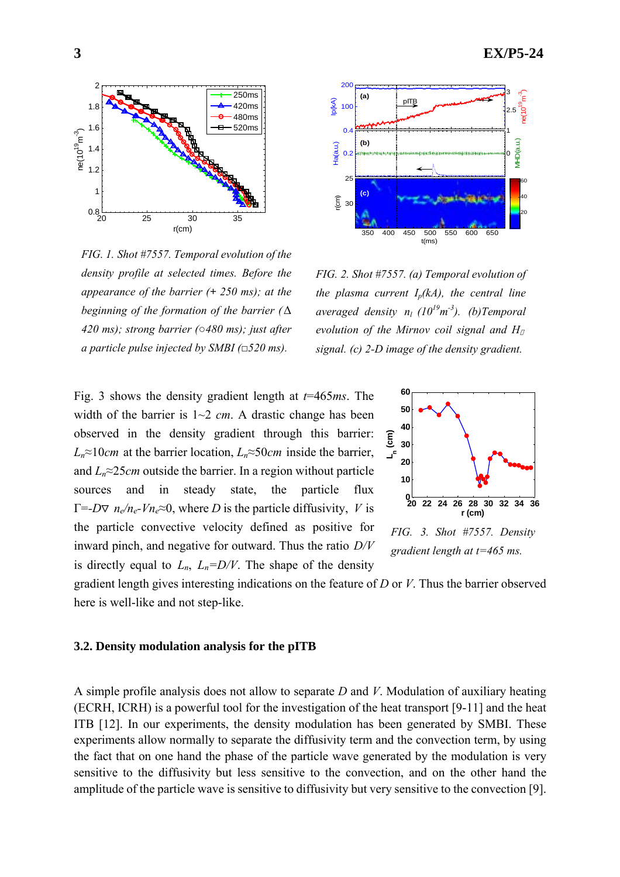

*FIG. 1. Shot #7557. Temporal evolution of the density profile at selected times. Before the appearance of the barrier (+ 250 ms); at the beginning of the formation of the barrier (*∆ *420 ms); strong barrier (*○*480 ms); just after a particle pulse injected by SMBI (*□*520 ms).* 



*FIG. 2. Shot #7557. (a) Temporal evolution of the plasma current*  $I_p(kA)$ *, the central line averaged density nl (1019 m -3). (b)Temporal evolution of the Mirnov coil signal and H signal. (c) 2-D image of the density gradient.* 

Fig. 3 shows the density gradient length at *t*=465*ms*. The width of the barrier is 1~2 *cm*. A drastic change has been observed in the density gradient through this barrier: *Ln*≈10*cm* at the barrier location, *Ln*≈50*cm* inside the barrier, and  $L_n \approx 25$ *cm* outside the barrier. In a region without particle sources and in steady state, the particle flux  $\Gamma = -D$  *n<sub>e</sub>*/*n<sub>e</sub>*-*Vn<sub>e</sub>*≈0, where *D* is the particle diffusivity, *V* is the particle convective velocity defined as positive for inward pinch, and negative for outward. Thus the ratio *D/V* is directly equal to  $L_n$ ,  $L_n = D/V$ . The shape of the density



*FIG. 3. Shot #7557. Density gradient length at t=465 ms.* 

gradient length gives interesting indications on the feature of *D* or *V*. Thus the barrier observed here is well-like and not step-like.

### **3.2. Density modulation analysis for the pITB**

A simple profile analysis does not allow to separate *D* and *V*. Modulation of auxiliary heating (ECRH, ICRH) is a powerful tool for the investigation of the heat transport [9-11] and the heat ITB [12]. In our experiments, the density modulation has been generated by SMBI. These experiments allow normally to separate the diffusivity term and the convection term, by using the fact that on one hand the phase of the particle wave generated by the modulation is very sensitive to the diffusivity but less sensitive to the convection, and on the other hand the amplitude of the particle wave is sensitive to diffusivity but very sensitive to the convection [9].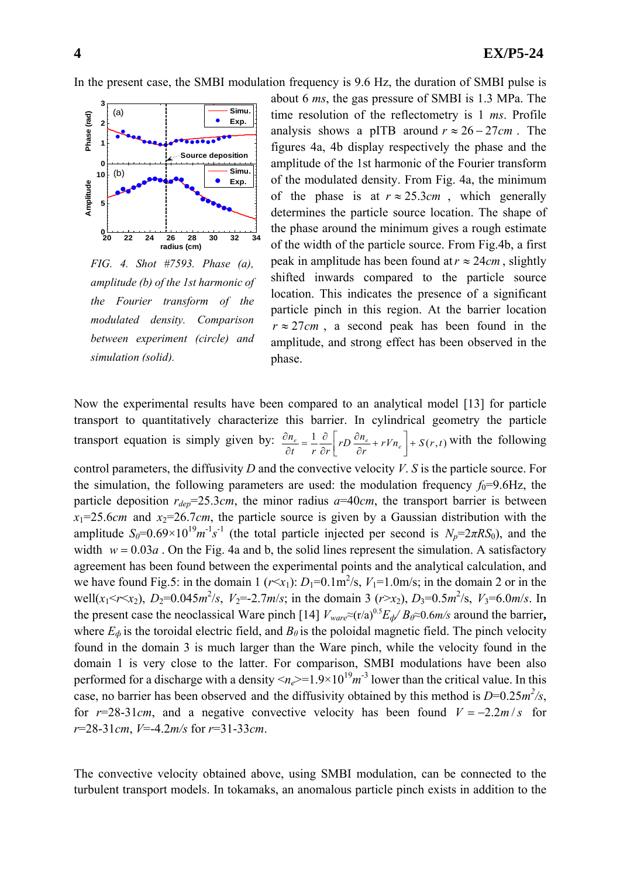In the present case, the SMBI modulation frequency is 9.6 Hz, the duration of SMBI pulse is



*FIG. 4. Shot #7593. Phase (a), amplitude (b) of the 1st harmonic of the Fourier transform of the modulated density. Comparison between experiment (circle) and simulation (solid).* 

about 6 *ms*, the gas pressure of SMBI is 1.3 MPa. The time resolution of the reflectometry is 1 *ms*. Profile analysis shows a pITB around  $r \approx 26 - 27$ *cm*. The figures 4a, 4b display respectively the phase and the amplitude of the 1st harmonic of the Fourier transform of the modulated density. From Fig. 4a, the minimum of the phase is at  $r \approx 25.3cm$ , which generally determines the particle source location. The shape of the phase around the minimum gives a rough estimate of the width of the particle source. From Fig.4b, a first peak in amplitude has been found at  $r \approx 24$ *cm*, slightly shifted inwards compared to the particle source location. This indicates the presence of a significant particle pinch in this region. At the barrier location  $r \approx 27$ *cm*, a second peak has been found in the amplitude, and strong effect has been observed in the phase.

Now the experimental results have been compared to an analytical model [13] for particle transport to quantitatively characterize this barrier. In cylindrical geometry the particle transport equation is simply given by:  $\frac{\partial n_e}{\partial t} = \frac{1}{r} \frac{\partial}{\partial r} \left[ r D \frac{\partial n_e}{\partial r} + r V n_e \right] + S(r, t)$  with the following control parameters, the diffusivity *D* and the convective velocity *V*. *S* is the particle source. For the simulation, the following parameters are used: the modulation frequency  $f_0=9.6\text{Hz}$ , the particle deposition  $r_{dep} = 25.3cm$ , the minor radius  $a = 40cm$ , the transport barrier is between  $x_1=25.6$ *cm* and  $x_2=26.7$ *cm*, the particle source is given by a Gaussian distribution with the amplitude  $S_0 = 0.69 \times 10^{19} m^{-1} s^{-1}$  (the total particle injected per second is  $N_p = 2 \pi R S_0$ ), and the width  $w = 0.03a$ . On the Fig. 4a and b, the solid lines represent the simulation. A satisfactory agreement has been found between the experimental points and the analytical calculation, and we have found Fig.5: in the domain 1 ( $r \le x_1$ ):  $D_1=0.1 \text{ m}^2/\text{s}$ ,  $V_1=1.0 \text{ m/s}$ ; in the domain 2 or in the well( $x_1 < r < x_2$ ),  $D_2 = 0.045 \frac{m^2}{s}$ ,  $V_2 = -2.7 \frac{m}{s}$ ; in the domain 3 ( $r > x_2$ ),  $D_3 = 0.5 \frac{m^2}{s}$ ,  $V_3 = 6.0 \frac{m}{s}$ . In the present case the neoclassical Ware pinch [14]  $V_{ware} \approx (r/a)^{0.5} E_{d}/B_{\theta} \approx 0.6 \text{m/s}$  around the barrier, where  $E_{\phi}$  is the toroidal electric field, and  $B_{\theta}$  is the poloidal magnetic field. The pinch velocity found in the domain 3 is much larger than the Ware pinch, while the velocity found in the domain 1 is very close to the latter. For comparison, SMBI modulations have been also performed for a discharge with a density  $\langle n_e \rangle = 1.9 \times 10^{19} m^{-3}$  lower than the critical value. In this case, no barrier has been observed and the diffusivity obtained by this method is  $D=0.25m^2/s$ , for  $r=28-31cm$ , and a negative convective velocity has been found  $V = -2.2m/s$  for *r*=28-31*cm*, *V*=-4.2*m/s* for *r*=31-33*cm*.

The convective velocity obtained above, using SMBI modulation, can be connected to the turbulent transport models. In tokamaks, an anomalous particle pinch exists in addition to the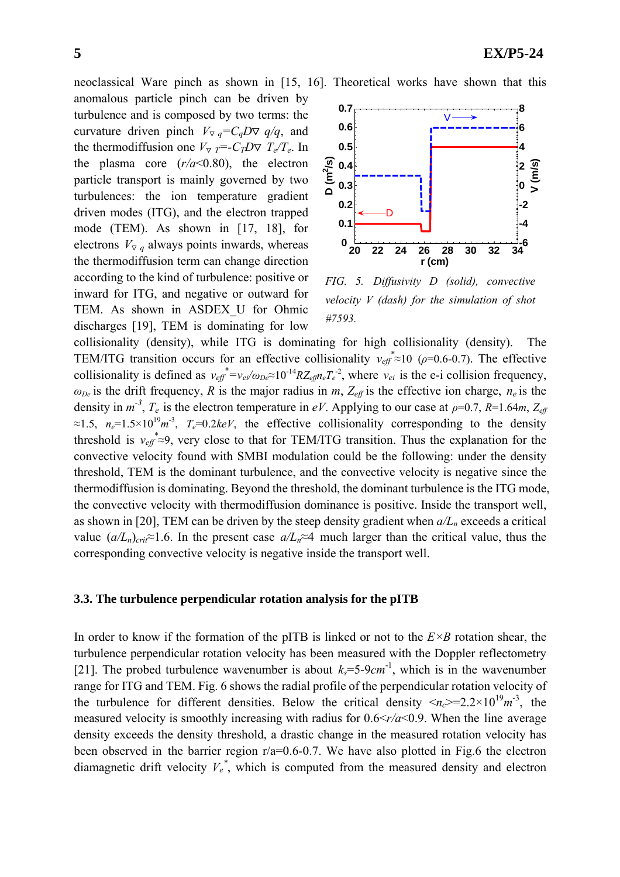neoclassical Ware pinch as shown in [15, 16]. Theoretical works have shown that this

anomalous particle pinch can be driven by turbulence and is composed by two terms: the curvature driven pinch *V*  $_q = C_q D$  *q/q*, and the thermodiffusion one *V*  $_T = -C_T D$   $T_e/T_e$ . In the plasma core  $(r/a<0.80)$ , the electron particle transport is mainly governed by two turbulences: the ion temperature gradient driven modes (ITG), and the electron trapped mode (TEM). As shown in [17, 18], for electrons  $V$  *q* always points inwards, whereas the thermodiffusion term can change direction according to the kind of turbulence: positive or inward for ITG, and negative or outward for TEM. As shown in ASDEX\_U for Ohmic discharges [19], TEM is dominating for low



*FIG. 5. Diffusivity D (solid), convective velocity V (dash) for the simulation of shot #7593.* 

collisionality (density), while ITG is dominating for high collisionality (density). The TEM/ITG transition occurs for an effective collisionality  $v_{\text{eff}} \approx 10 \ (\rho = 0.6 - 0.7)$ . The effective collisionality is defined as  $v_{\text{eff}}^* = v_{\text{e}} / \omega_{\text{De}} \approx 10^{-14} R Z_{\text{eff}} n_{\text{e}} T_{\text{e}}^2$ , where  $v_{\text{ei}}$  is the e-i collision frequency,  $\omega_{De}$  is the drift frequency, *R* is the major radius in *m*,  $Z_{\text{eff}}$  is the effective ion charge,  $n_e$  is the density in  $m^{-3}$ ,  $T_e$  is the electron temperature in *eV*. Applying to our case at  $\rho$ =0.7, *R*=1.64*m*,  $Z_{ef}$  $\approx 1.5$ ,  $n_e=1.5\times10^{19}m^{-3}$ ,  $T_e=0.2keV$ , the effective collisionality corresponding to the density threshold is  $v_{\text{eff}} \approx 9$ , very close to that for TEM/ITG transition. Thus the explanation for the convective velocity found with SMBI modulation could be the following: under the density threshold, TEM is the dominant turbulence, and the convective velocity is negative since the thermodiffusion is dominating. Beyond the threshold, the dominant turbulence is the ITG mode, the convective velocity with thermodiffusion dominance is positive. Inside the transport well, as shown in [20], TEM can be driven by the steep density gradient when  $a/L_n$  exceeds a critical value  $(a/L_n)_{crit} \approx 1.6$ . In the present case  $a/L_n \approx 4$  much larger than the critical value, thus the corresponding convective velocity is negative inside the transport well.

### **3.3. The turbulence perpendicular rotation analysis for the pITB**

In order to know if the formation of the pITB is linked or not to the  $E \times B$  rotation shear, the turbulence perpendicular rotation velocity has been measured with the Doppler reflectometry [21]. The probed turbulence wavenumber is about  $k_s = 5.9cm^{-1}$ , which is in the wavenumber range for ITG and TEM. Fig. 6 shows the radial profile of the perpendicular rotation velocity of the turbulence for different densities. Below the critical density  $\langle n_c \rangle = 2.2 \times 10^{19} m^{-3}$ , the measured velocity is smoothly increasing with radius for 0.6<*r/a*<0.9. When the line average density exceeds the density threshold, a drastic change in the measured rotation velocity has been observed in the barrier region r/a=0.6-0.7. We have also plotted in Fig.6 the electron diamagnetic drift velocity  $V_e^*$ , which is computed from the measured density and electron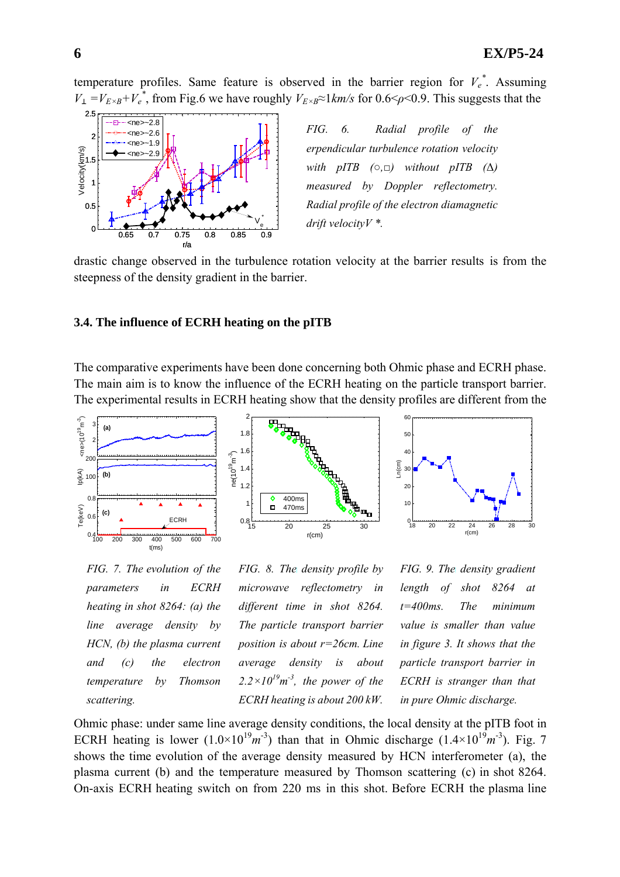temperature profiles. Same feature is observed in the barrier region for  $V_e^*$ . Assuming  $V = V_{E \times B} + V_e^*$ , from Fig.6 we have roughly  $V_{E \times B} \approx 1$ *km/s* for 0.6 <  $\rho$  < 0.9. This suggests that the



*FIG. 6. Radial profile of the erpendicular turbulence rotation velocity with pITB*  $(0, \Box)$  *without pITB*  $(\Delta)$ *measured by Doppler reflectometry. Radial profile of the electron diamagnetic drift velocityV \*.* 

drastic change observed in the turbulence rotation velocity at the barrier results is from the steepness of the density gradient in the barrier.

#### **3.4. The influence of ECRH heating on the pITB**

The comparative experiments have been done concerning both Ohmic phase and ECRH phase. The main aim is to know the influence of the ECRH heating on the particle transport barrier. The experimental results in ECRH heating show that the density profiles are different from the



*FIG. 7. The evolution of the parameters in ECRH heating in shot 8264: (a) the line average density by HCN, (b) the plasma current and (c) the electron temperature by Thomson scattering.* 

*FIG. 8. The density profile by microwave reflectometry in different time in shot 8264. The particle transport barrier position is about r=26cm. Line average density is about*   $2.2 \times 10^{19}$ m<sup>-3</sup>, the power of the *ECRH heating is about 200 kW.*

*FIG. 9. The density gradient length of shot 8264 at t=400ms. The minimum value is smaller than value in figure 3. It shows that the particle transport barrier in ECRH is stranger than that in pure Ohmic discharge.*

Ohmic phase: under same line average density conditions, the local density at the pITB foot in ECRH heating is lower  $(1.0 \times 10^{19} m^{-3})$  than that in Ohmic discharge  $(1.4 \times 10^{19} m^{-3})$ . Fig. 7 shows the time evolution of the average density measured by HCN interferometer (a), the plasma current (b) and the temperature measured by Thomson scattering (c) in shot 8264. On-axis ECRH heating switch on from 220 ms in this shot. Before ECRH the plasma line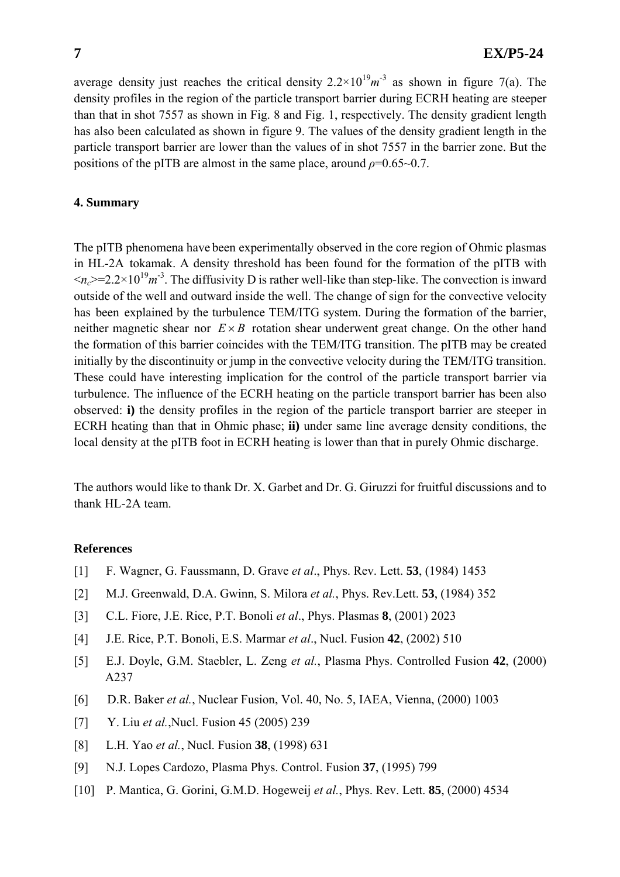average density just reaches the critical density  $2.2 \times 10^{19} m^{-3}$  as shown in figure 7(a). The density profiles in the region of the particle transport barrier during ECRH heating are steeper than that in shot 7557 as shown in Fig. 8 and Fig. 1, respectively. The density gradient length has also been calculated as shown in figure 9. The values of the density gradient length in the particle transport barrier are lower than the values of in shot 7557 in the barrier zone. But the positions of the pITB are almost in the same place, around  $\rho=0.65 \sim 0.7$ .

## **4. Summary**

The pITB phenomena have been experimentally observed in the core region of Ohmic plasmas in HL-2A tokamak. A density threshold has been found for the formation of the pITB with  $\langle n_c \rangle = 2.2 \times 10^{19} m^{-3}$ . The diffusivity D is rather well-like than step-like. The convection is inward outside of the well and outward inside the well. The change of sign for the convective velocity has been explained by the turbulence TEM/ITG system. During the formation of the barrier, neither magnetic shear nor  $E \times B$  rotation shear underwent great change. On the other hand the formation of this barrier coincides with the TEM/ITG transition. The pITB may be created initially by the discontinuity or jump in the convective velocity during the TEM/ITG transition. These could have interesting implication for the control of the particle transport barrier via turbulence. The influence of the ECRH heating on the particle transport barrier has been also observed: **i)** the density profiles in the region of the particle transport barrier are steeper in ECRH heating than that in Ohmic phase; **ii)** under same line average density conditions, the local density at the pITB foot in ECRH heating is lower than that in purely Ohmic discharge.

The authors would like to thank Dr. X. Garbet and Dr. G. Giruzzi for fruitful discussions and to thank HL-2A team.

#### **References**

- [1] F. Wagner, G. Faussmann, D. Grave *et al*., Phys. Rev. Lett. **53**, (1984) 1453
- [2] M.J. Greenwald, D.A. Gwinn, S. Milora *et al.*, Phys. Rev.Lett. **53**, (1984) 352
- [3] C.L. Fiore, J.E. Rice, P.T. Bonoli *et al*., Phys. Plasmas **8**, (2001) 2023
- [4] J.E. Rice, P.T. Bonoli, E.S. Marmar *et al*., Nucl. Fusion **42**, (2002) 510
- [5] E.J. Doyle, G.M. Staebler, L. Zeng *et al.*, Plasma Phys. Controlled Fusion **42**, (2000) A237
- [6] D.R. Baker *et al.*, Nuclear Fusion, Vol. 40, No. 5, IAEA, Vienna, (2000) 1003
- [7] Y. Liu *et al.*, Nucl. Fusion 45 (2005) 239
- [8] L.H. Yao *et al.*, Nucl. Fusion **38**, (1998) 631
- [9] N.J. Lopes Cardozo, Plasma Phys. Control. Fusion **37**, (1995) 799
- [10] P. Mantica, G. Gorini, G.M.D. Hogeweij *et al.*, Phys. Rev. Lett. **85**, (2000) 4534